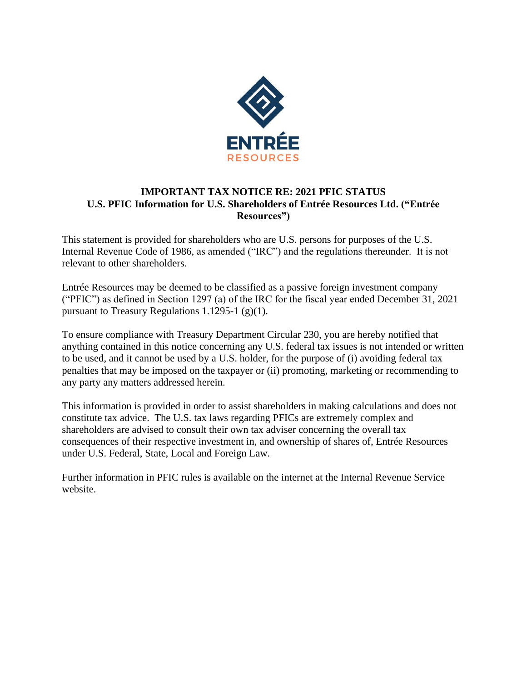

## **IMPORTANT TAX NOTICE RE: 2021 PFIC STATUS U.S. PFIC Information for U.S. Shareholders of Entrée Resources Ltd. ("Entrée Resources")**

This statement is provided for shareholders who are U.S. persons for purposes of the U.S. Internal Revenue Code of 1986, as amended ("IRC") and the regulations thereunder. It is not relevant to other shareholders.

Entrée Resources may be deemed to be classified as a passive foreign investment company ("PFIC") as defined in Section 1297 (a) of the IRC for the fiscal year ended December 31, 2021 pursuant to Treasury Regulations 1.1295-1  $(g)(1)$ .

To ensure compliance with Treasury Department Circular 230, you are hereby notified that anything contained in this notice concerning any U.S. federal tax issues is not intended or written to be used, and it cannot be used by a U.S. holder, for the purpose of (i) avoiding federal tax penalties that may be imposed on the taxpayer or (ii) promoting, marketing or recommending to any party any matters addressed herein.

This information is provided in order to assist shareholders in making calculations and does not constitute tax advice. The U.S. tax laws regarding PFICs are extremely complex and shareholders are advised to consult their own tax adviser concerning the overall tax consequences of their respective investment in, and ownership of shares of, Entrée Resources under U.S. Federal, State, Local and Foreign Law.

Further information in PFIC rules is available on the internet at the Internal Revenue Service website.